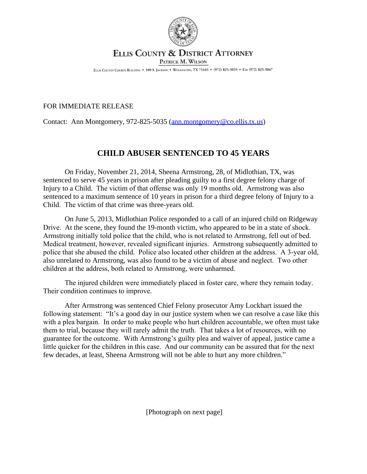

## ELLIS COUNTY & DISTRICT ATTORNEY PATRICK M. WILSON

ELLIS COUNTY COURTS BUILDING . 109 S. JACKSON . WAXAHACHIE, TX 75165 . (972) 825-5035 . FAX (972) 825-5047

## FOR IMMEDIATE RELEASE

Contact: Ann Montgomery, 972-825-5035 ([ann.montgomery@co.ellis.tx.us](mailto:ann.montgomery@co.ellis.tx.us))

## **CHILD ABUSER SENTENCED TO 45 YEARS**

On Friday, November 21, 2014, Sheena Armstrong, 28, of Midlothian, TX, was sentenced to serve 45 years in prison after pleading guilty to a first degree felony charge of Injury to a Child. The victim of that offense was only 19 months old. Armstrong was also sentenced to a maximum sentence of 10 years in prison for a third degree felony of Injury to a Child. The victim of that crime was three-years old.

On June 5, 2013, Midlothian Police responded to a call of an injured child on Ridgeway Drive. At the scene, they found the 19-month victim, who appeared to be in a state of shock. Armstrong initially told police that the child, who is not related to Armstrong, fell out of bed. Medical treatment, however, revealed significant injuries. Armstrong subsequently admitted to police that she abused the child. Police also located other children at the address. A 3-year old, also unrelated to Armstrong, was also found to be a victim of abuse and neglect. Two other children at the address, both related to Armstrong, were unharmed.

The injured children were immediately placed in foster care, where they remain today. Their condition continues to improve.

After Armstrong was sentenced Chief Felony prosecutor Amy Lockhart issued the following statement: "It's a good day in our justice system when we can resolve a case like this with a plea bargain. In order to make people who hurt children accountable, we often must take them to trial, because they will rarely admit the truth. That takes a lot of resources, with no guarantee for the outcome. With Armstrong's guilty plea and waiver of appeal, justice came a little quicker for the children in this case. And our community can be assured that for the next few decades, at least, Sheena Armstrong will not be able to hurt any more children."

[Photograph on next page]